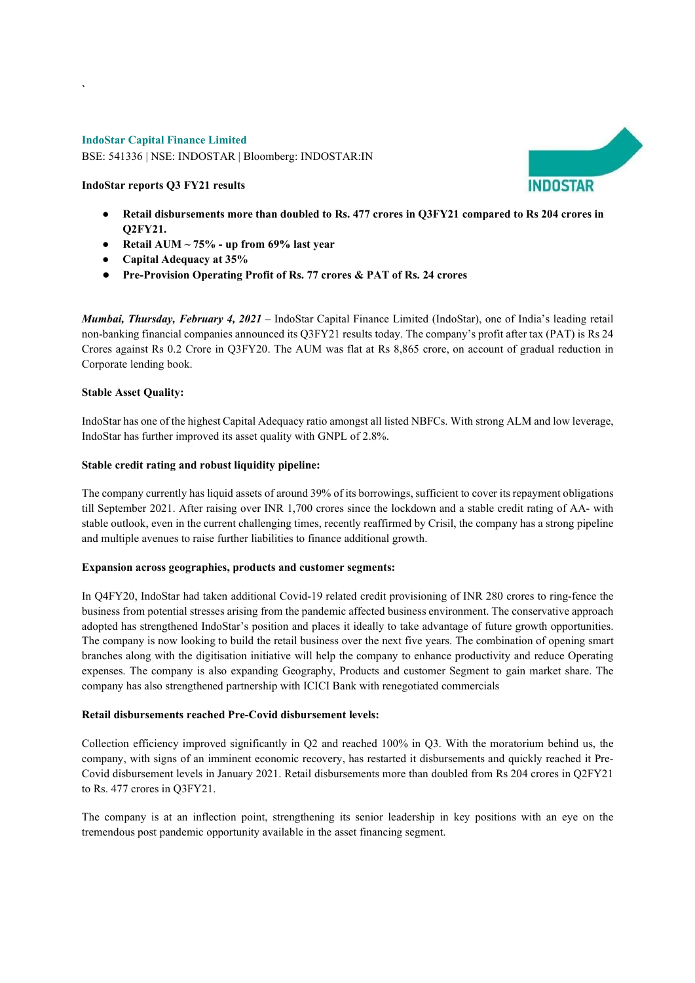## IndoStar Capital Finance Limited

`

BSE: 541336 | NSE: INDOSTAR | Bloomberg: INDOSTAR:IN

# IndoStar reports Q3 FY21 results

- Retail disbursements more than doubled to Rs. 477 crores in Q3FY21 compared to Rs 204 crores in Q2FY21.
- Retail AUM  $\sim$  75% up from 69% last year
- Capital Adequacy at 35%
- Pre-Provision Operating Profit of Rs. 77 crores & PAT of Rs. 24 crores

Mumbai, Thursday, February 4, 2021 – IndoStar Capital Finance Limited (IndoStar), one of India's leading retail non-banking financial companies announced its Q3FY21 results today. The company's profit after tax (PAT) is Rs 24 Crores against Rs 0.2 Crore in Q3FY20. The AUM was flat at Rs 8,865 crore, on account of gradual reduction in Corporate lending book.

### Stable Asset Quality:

IndoStar has one of the highest Capital Adequacy ratio amongst all listed NBFCs. With strong ALM and low leverage, IndoStar has further improved its asset quality with GNPL of 2.8%.

### Stable credit rating and robust liquidity pipeline:

The company currently has liquid assets of around 39% of its borrowings, sufficient to cover its repayment obligations till September 2021. After raising over INR 1,700 crores since the lockdown and a stable credit rating of AA- with stable outlook, even in the current challenging times, recently reaffirmed by Crisil, the company has a strong pipeline and multiple avenues to raise further liabilities to finance additional growth.

# Expansion across geographies, products and customer segments:

In Q4FY20, IndoStar had taken additional Covid-19 related credit provisioning of INR 280 crores to ring-fence the business from potential stresses arising from the pandemic affected business environment. The conservative approach adopted has strengthened IndoStar's position and places it ideally to take advantage of future growth opportunities. The company is now looking to build the retail business over the next five years. The combination of opening smart branches along with the digitisation initiative will help the company to enhance productivity and reduce Operating expenses. The company is also expanding Geography, Products and customer Segment to gain market share. The company has also strengthened partnership with ICICI Bank with renegotiated commercials

# Retail disbursements reached Pre-Covid disbursement levels:

Collection efficiency improved significantly in Q2 and reached 100% in Q3. With the moratorium behind us, the company, with signs of an imminent economic recovery, has restarted it disbursements and quickly reached it Pre-Covid disbursement levels in January 2021. Retail disbursements more than doubled from Rs 204 crores in Q2FY21 to Rs. 477 crores in Q3FY21.

The company is at an inflection point, strengthening its senior leadership in key positions with an eye on the tremendous post pandemic opportunity available in the asset financing segment.